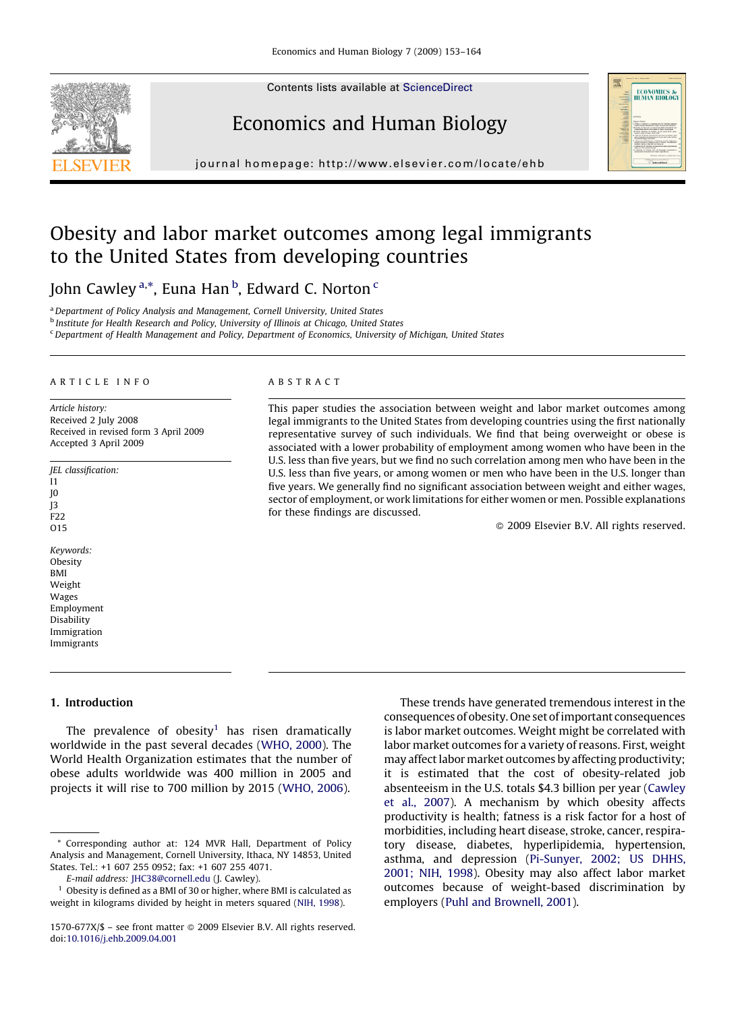Contents lists available at [ScienceDirect](http://www.sciencedirect.com/science/journal/1570677X)



journal homepage: http://www.elsevier.com/locate/ehb

Economics and Human Biology

## Obesity and labor market outcomes among legal immigrants to the United States from developing countries

John Cawley <sup>a,\*</sup>, Euna Han <sup>b</sup>, Edward C. Norton <sup>c</sup>

<sup>a</sup> Department of Policy Analysis and Management, Cornell University, United States

**b Institute for Health Research and Policy, University of Illinois at Chicago, United States** 

<sup>c</sup>Department of Health Management and Policy, Department of Economics, University of Michigan, United States

#### ARTICLE INFO

Article history: Received 2 July 2008 Received in revised form 3 April 2009 Accepted 3 April 2009

- JEL classification: I1 J0 J3 F22 O15 Keywords: **Obesity**
- BMI Weight Wages Employment Disability Immigration Immigrants

#### ABSTRACT

This paper studies the association between weight and labor market outcomes among legal immigrants to the United States from developing countries using the first nationally representative survey of such individuals. We find that being overweight or obese is associated with a lower probability of employment among women who have been in the U.S. less than five years, but we find no such correlation among men who have been in the U.S. less than five years, or among women or men who have been in the U.S. longer than five years. We generally find no significant association between weight and either wages, sector of employment, or work limitations for either women or men. Possible explanations for these findings are discussed.

 $\odot$  2009 Elsevier B.V. All rights reserved.

### 1. Introduction

The prevalence of obesity<sup>1</sup> has risen dramatically worldwide in the past several decades ([WHO, 2000](#page--1-0)). The World Health Organization estimates that the number of obese adults worldwide was 400 million in 2005 and projects it will rise to 700 million by 2015 [\(WHO, 2006](#page--1-0)).

These trends have generated tremendous interest in the consequences of obesity. One set of important consequences is labor market outcomes. Weight might be correlated with labor market outcomes for a variety of reasons. First, weight may affect labor market outcomes by affecting productivity; it is estimated that the cost of obesity-related job absenteeism in the U.S. totals \$4.3 billion per year ([Cawley](#page--1-0) [et al., 2007](#page--1-0)). A mechanism by which obesity affects productivity is health; fatness is a risk factor for a host of morbidities, including heart disease, stroke, cancer, respiratory disease, diabetes, hyperlipidemia, hypertension, asthma, and depression [\(Pi-Sunyer, 2002; US DHHS,](#page--1-0) [2001; NIH, 1998](#page--1-0)). Obesity may also affect labor market outcomes because of weight-based discrimination by employers ([Puhl and Brownell, 2001](#page--1-0)).

<sup>\*</sup> Corresponding author at: 124 MVR Hall, Department of Policy Analysis and Management, Cornell University, Ithaca, NY 14853, United States. Tel.: +1 607 255 0952; fax: +1 607 255 4071.

E-mail address: [JHC38@cornell.edu](mailto:JHC38@cornell.edu) (J. Cawley).

 $^{\rm 1}$  Obesity is defined as a BMI of 30 or higher, where BMI is calculated as weight in kilograms divided by height in meters squared [\(NIH, 1998](#page--1-0)).

<sup>1570-677</sup>X/\$ – see front matter © 2009 Elsevier B.V. All rights reserved. doi:[10.1016/j.ehb.2009.04.001](http://dx.doi.org/10.1016/j.ehb.2009.04.001)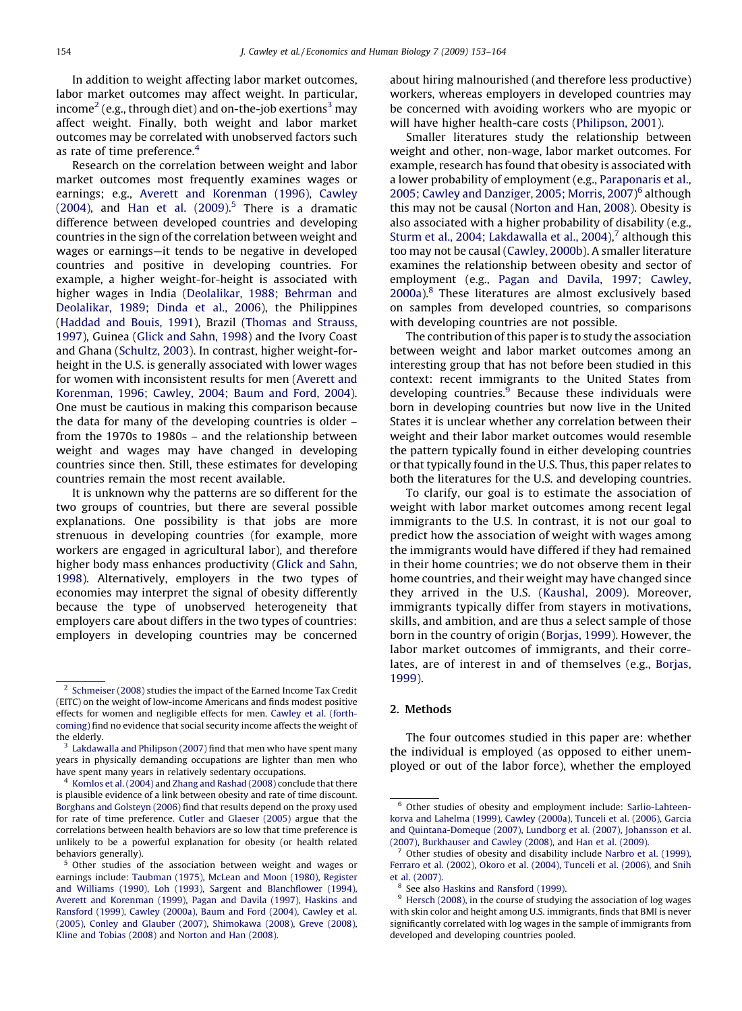In addition to weight affecting labor market outcomes, labor market outcomes may affect weight. In particular, income<sup>2</sup> (e.g., through diet) and on-the-job exertions<sup>3</sup> may affect weight. Finally, both weight and labor market outcomes may be correlated with unobserved factors such as rate of time preference.<sup>4</sup>

Research on the correlation between weight and labor market outcomes most frequently examines wages or earnings; e.g., [Averett and Korenman \(1996\),](#page--1-0) [Cawley](#page--1-0)  $(2004)$ , and Han et al.  $(2009)$ .<sup>5</sup> There is a dramatic difference between developed countries and developing countries in the sign of the correlation between weight and wages or earnings—it tends to be negative in developed countries and positive in developing countries. For example, a higher weight-for-height is associated with higher wages in India [\(Deolalikar, 1988; Behrman and](#page--1-0) [Deolalikar, 1989; Dinda et al., 2006\)](#page--1-0), the Philippines [\(Haddad and Bouis, 1991](#page--1-0)), Brazil [\(Thomas and Strauss,](#page--1-0) [1997](#page--1-0)), Guinea ([Glick and Sahn, 1998\)](#page--1-0) and the Ivory Coast and Ghana ([Schultz, 2003\)](#page--1-0). In contrast, higher weight-forheight in the U.S. is generally associated with lower wages for women with inconsistent results for men ([Averett and](#page--1-0) [Korenman, 1996; Cawley, 2004; Baum and Ford, 2004](#page--1-0)). One must be cautious in making this comparison because the data for many of the developing countries is older – from the 1970s to 1980s – and the relationship between weight and wages may have changed in developing countries since then. Still, these estimates for developing countries remain the most recent available.

It is unknown why the patterns are so different for the two groups of countries, but there are several possible explanations. One possibility is that jobs are more strenuous in developing countries (for example, more workers are engaged in agricultural labor), and therefore higher body mass enhances productivity ([Glick and Sahn,](#page--1-0) [1998](#page--1-0)). Alternatively, employers in the two types of economies may interpret the signal of obesity differently because the type of unobserved heterogeneity that employers care about differs in the two types of countries: employers in developing countries may be concerned

about hiring malnourished (and therefore less productive) workers, whereas employers in developed countries may be concerned with avoiding workers who are myopic or will have higher health-care costs [\(Philipson, 2001](#page--1-0)).

Smaller literatures study the relationship between weight and other, non-wage, labor market outcomes. For example, research has found that obesity is associated with a lower probability of employment (e.g., [Paraponaris et al.,](#page--1-0) [2005; Cawley and Danziger, 2005; Morris, 2007\)](#page--1-0) <sup>6</sup> although this may not be causal ([Norton and Han, 2008\)](#page--1-0). Obesity is also associated with a higher probability of disability (e.g., [Sturm et al., 2004; Lakdawalla et al., 2004\)](#page--1-0), $<sup>7</sup>$  although this</sup> too may not be causal [\(Cawley, 2000b\)](#page--1-0). A smaller literature examines the relationship between obesity and sector of employment (e.g., [Pagan and Davila, 1997; Cawley,](#page--1-0)  $2000a$ <sup>8</sup>. These literatures are almost exclusively based on samples from developed countries, so comparisons with developing countries are not possible.

The contribution of this paper is to study the association between weight and labor market outcomes among an interesting group that has not before been studied in this context: recent immigrants to the United States from developing countries. $9$  Because these individuals were born in developing countries but now live in the United States it is unclear whether any correlation between their weight and their labor market outcomes would resemble the pattern typically found in either developing countries or that typically found in the U.S. Thus, this paper relates to both the literatures for the U.S. and developing countries.

To clarify, our goal is to estimate the association of weight with labor market outcomes among recent legal immigrants to the U.S. In contrast, it is not our goal to predict how the association of weight with wages among the immigrants would have differed if they had remained in their home countries; we do not observe them in their home countries, and their weight may have changed since they arrived in the U.S. ([Kaushal, 2009\)](#page--1-0). Moreover, immigrants typically differ from stayers in motivations, skills, and ambition, and are thus a select sample of those born in the country of origin ([Borjas, 1999\)](#page--1-0). However, the labor market outcomes of immigrants, and their correlates, are of interest in and of themselves (e.g., [Borjas,](#page--1-0) [1999\)](#page--1-0).

#### 2. Methods

The four outcomes studied in this paper are: whether the individual is employed (as opposed to either unemployed or out of the labor force), whether the employed

<sup>2</sup> [Schmeiser \(2008\)](#page--1-0) studies the impact of the Earned Income Tax Credit (EITC) on the weight of low-income Americans and finds modest positive effects for women and negligible effects for men. [Cawley et al. \(forth](#page--1-0)[coming\)](#page--1-0) find no evidence that social security income affects the weight of the elderly.

[Lakdawalla and Philipson \(2007\)](#page--1-0) find that men who have spent many years in physically demanding occupations are lighter than men who have spent many years in relatively sedentary occupations.

<sup>&</sup>lt;sup>4</sup> [Komlos et al. \(2004\)](#page--1-0) and [Zhang and Rashad \(2008\)](#page--1-0) conclude that there is plausible evidence of a link between obesity and rate of time discount. [Borghans and Golsteyn \(2006\)](#page--1-0) find that results depend on the proxy used for rate of time preference. [Cutler and Glaeser \(2005\)](#page--1-0) argue that the correlations between health behaviors are so low that time preference is unlikely to be a powerful explanation for obesity (or health related behaviors generally).

<sup>&</sup>lt;sup>5</sup> Other studies of the association between weight and wages or earnings include: [Taubman \(1975\),](#page--1-0) [McLean and Moon \(1980\),](#page--1-0) [Register](#page--1-0) [and Williams \(1990\),](#page--1-0) [Loh \(1993\),](#page--1-0) [Sargent and Blanchflower \(1994\),](#page--1-0) [Averett and Korenman \(1999\)](#page--1-0), [Pagan and Davila \(1997\)](#page--1-0), [Haskins and](#page--1-0) [Ransford \(1999\)](#page--1-0), [Cawley \(2000a\)](#page--1-0), [Baum and Ford \(2004\)](#page--1-0), [Cawley et al.](#page--1-0) [\(2005\)](#page--1-0), [Conley and Glauber \(2007\),](#page--1-0) [Shimokawa \(2008\)](#page--1-0), [Greve \(2008\),](#page--1-0) [Kline and Tobias \(2008\)](#page--1-0) and [Norton and Han \(2008\).](#page--1-0)

<sup>6</sup> Other studies of obesity and employment include: [Sarlio-Lahteen](#page--1-0)[korva and Lahelma \(1999\)](#page--1-0), [Cawley \(2000a\),](#page--1-0) [Tunceli et al. \(2006\)](#page--1-0), [Garcia](#page--1-0) [and Quintana-Domeque \(2007\),](#page--1-0) [Lundborg et al. \(2007\)](#page--1-0), [Johansson et al.](#page--1-0) [\(2007\)](#page--1-0), [Burkhauser and Cawley \(2008\),](#page--1-0) and [Han et al. \(2009\)](#page--1-0).

Other studies of obesity and disability include [Narbro et al. \(1999\),](#page--1-0) [Ferraro et al. \(2002\)](#page--1-0), [Okoro et al. \(2004\)](#page--1-0), [Tunceli et al. \(2006\),](#page--1-0) and [Snih](#page--1-0) [et al. \(2007\).](#page--1-0)

See also [Haskins and Ransford \(1999\).](#page--1-0)

<sup>&</sup>lt;sup>9</sup> [Hersch \(2008\)](#page--1-0), in the course of studying the association of log wages with skin color and height among U.S. immigrants, finds that BMI is never significantly correlated with log wages in the sample of immigrants from developed and developing countries pooled.